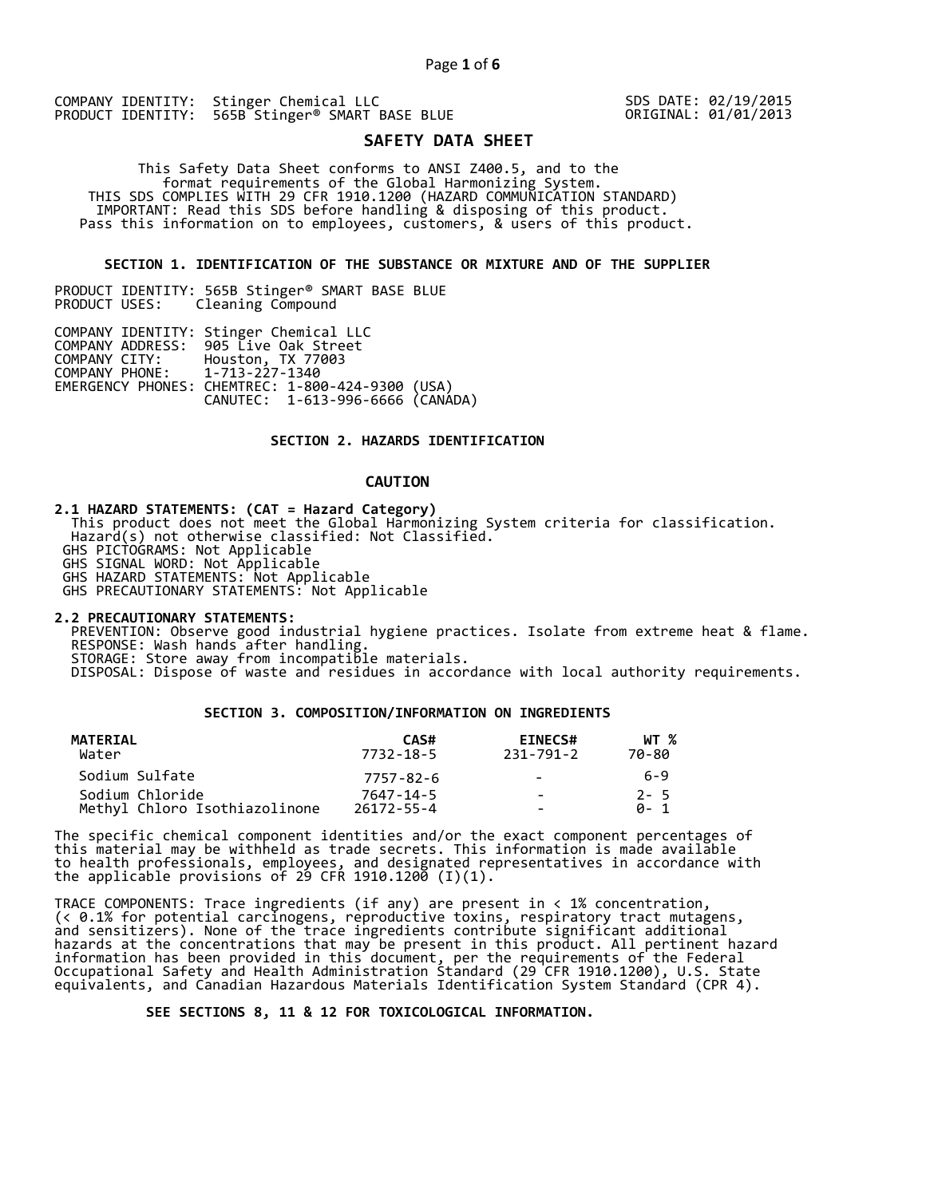COMPANY IDENTITY: Stinger Chemical LLC PRODUCT IDENTITY: 565B Stinger<sup>®</sup> SMART BASE BLUE SDS DATE: 02/19/2015 ORIGINAL: 01/01/2013

# **SAFETY DATA SHEET**

 This Safety Data Sheet conforms to ANSI Z400.5, and to the format requirements of the Global Harmonizing System. THIS SDS COMPLIES WITH 29 CFR 1910.1200 (HAZARD COMMUNICATION STANDARD) IMPORTANT: Read this SDS before handling & disposing of this product. Pass this information on to employees, customers, & users of this product.

## **SECTION 1. IDENTIFICATION OF THE SUBSTANCE OR MIXTURE AND OF THE SUPPLIER**

PRODUCT IDENTITY: 565B Stinger® SMART BASE BLUE Cleaning Compound

|                               | COMPANY IDENTITY: Stinger Chemical LLC           |  |
|-------------------------------|--------------------------------------------------|--|
|                               | COMPANY ADDRESS: 905 Live Oak Street             |  |
| COMPANY CITY:                 | Houston, TX 77003                                |  |
| COMPANY PHONE: 1-713-227-1340 |                                                  |  |
|                               | EMERGENCY PHONES: CHEMTREC: 1-800-424-9300 (USA) |  |
|                               | CANUTEC: 1-613-996-6666 (CANÁDA)                 |  |

## **SECTION 2. HAZARDS IDENTIFICATION**

## **CAUTION**

**2.1 HAZARD STATEMENTS: (CAT = Hazard Category)**

 This product does not meet the Global Harmonizing System criteria for classification. Hazard(s) not otherwise classified: Not Classified.

GHS PICTOGRAMS: Not Applicable

GHS SIGNAL WORD: Not Applicable

GHS HAZARD STATEMENTS: Not Applicable

GHS PRECAUTIONARY STATEMENTS: Not Applicable

**2.2 PRECAUTIONARY STATEMENTS:** 

 PREVENTION: Observe good industrial hygiene practices. Isolate from extreme heat & flame. RESPONSE: Wash hands after handling. STORAGE: Store away from incompatible materials.

DISPOSAL: Dispose of waste and residues in accordance with local authority requirements.

## **SECTION 3. COMPOSITION/INFORMATION ON INGREDIENTS**

| MATERIAL<br>Water             | CAS#<br>7732-18-5 | <b>EINECS#</b><br>231-791-2 | WT %<br>70-80 |
|-------------------------------|-------------------|-----------------------------|---------------|
| Sodium Sulfate                | 7757-82-6         | $\sim$                      | 6-9           |
| Sodium Chloride               | 7647-14-5         | $\sim$                      | $2 - 5$       |
| Methyl Chloro Isothiazolinone | $26172 - 55 - 4$  | -                           | A- 1          |

The specific chemical component identities and/or the exact component percentages of this material may be withheld as trade secrets. This information is made available to health professionals, employees, and designated representatives in accordance with the applicable provisions of 29 CFR 1910.1200̄ (I)(1).  $\overline{\phantom{a}}$ 

TRACE COMPONENTS: Trace ingredients (if any) are present in < 1% concentration, (< 0.1% for potential carcinogens, reproductive toxins, respiratory tract mutagens, and sensitizers). None of the trace ingredients contribute significant additional hazards at the concentrations that may be present in this product. All pertinent hazard information has been provided in this document, per the requirements of the Federal Occupational Safety and Health Administration Standard (29 CFR 1910.1200), U.S. State equivalents, and Canadian Hazardous Materials Identification System Standard (CPR 4).

 **SEE SECTIONS 8, 11 & 12 FOR TOXICOLOGICAL INFORMATION.**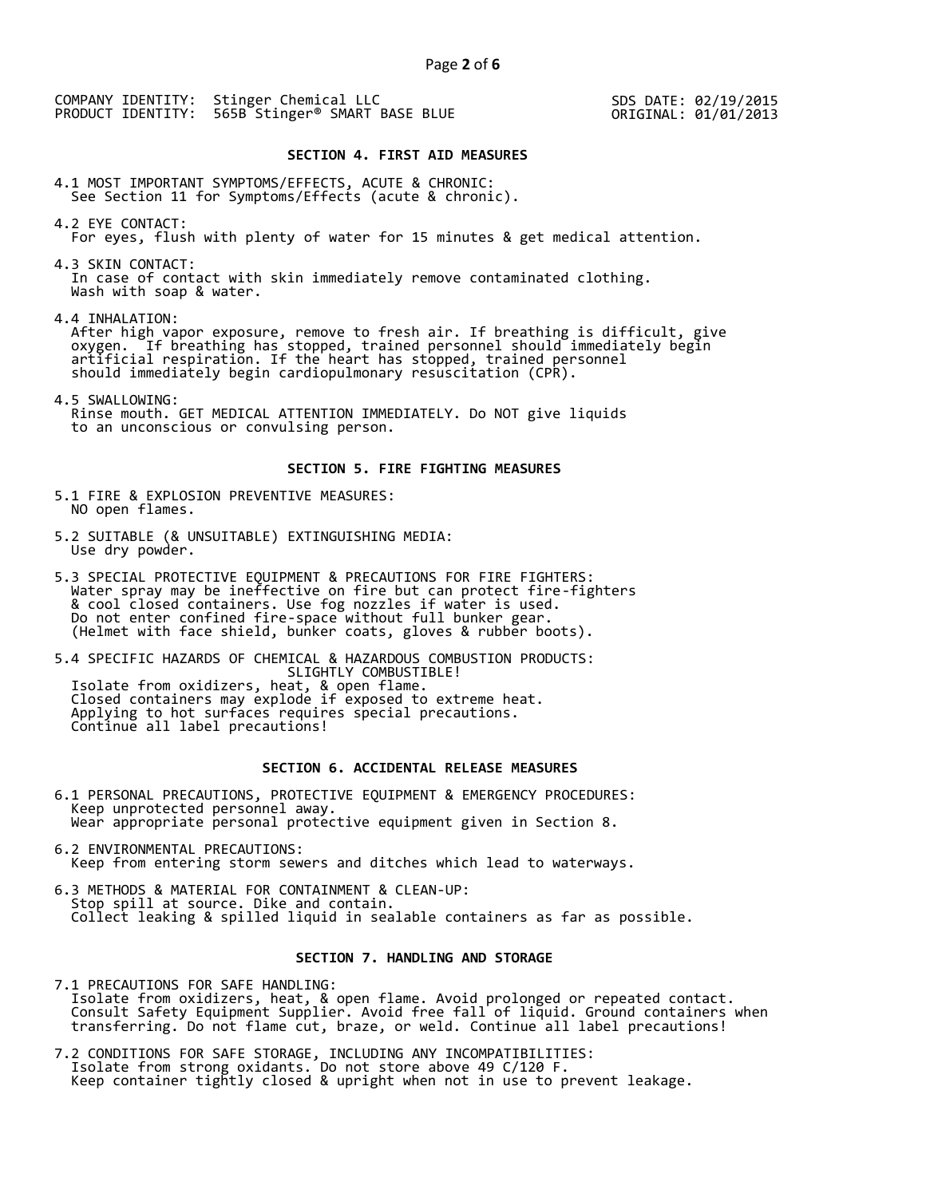COMPANY IDENTITY: Stinger Chemical LLC PRODUCT IDENTITY: 565B Stinger® SMART BASE BLUE

SDS DATE: 02/19/2015 ORIGINAL: 01/01/2013

## **SECTION 4. FIRST AID MEASURES**

4.1 MOST IMPORTANT SYMPTOMS/EFFECTS, ACUTE & CHRONIC: See Section 11 for Symptoms/Effects (acute & chronic).

- 4.2 EYE CONTACT: For eyes, flush with plenty of water for 15 minutes & get medical attention.
- 4.3 SKIN CONTACT: In case of contact with skin immediately remove contaminated clothing. Wash with soap & water.

4.4 INHALATION:

 After high vapor exposure, remove to fresh air. If breathing is difficult, give oxygen. If breathing has stopped, trained personnel should immediately begin artificial respiration. If the heart has stopped, trained personnel should immediately begin cardiopulmonary resuscitation (CPR).

4.5 SWALLOWING: Rinse mouth. GET MEDICAL ATTENTION IMMEDIATELY. Do NOT give liquids to an unconscious or convulsing person.

## **SECTION 5. FIRE FIGHTING MEASURES**

- 5.1 FIRE & EXPLOSION PREVENTIVE MEASURES: NO open flames.
- 5.2 SUITABLE (& UNSUITABLE) EXTINGUISHING MEDIA: Use dry powder.
- 5.3 SPECIAL PROTECTIVE EQUIPMENT & PRECAUTIONS FOR FIRE FIGHTERS: Water spray may be ineffective on fire but can protect fire-fighters & cool closed containers. Use fog nozzles if water is used. Do not enter confined fire-space without full bunker gear. (Helmet with face shield, bunker coats, gloves & rubber boots).

5.4 SPECIFIC HAZARDS OF CHEMICAL & HAZARDOUS COMBUSTION PRODUCTS: SLIGHTLY COMBUSTIBLE! Isolate from oxidizers, heat, & open flame. Closed containers may explode if exposed to extreme heat. Applying to hot surfaces requires special precautions. Continue all label precautions!

# **SECTION 6. ACCIDENTAL RELEASE MEASURES**

- 6.1 PERSONAL PRECAUTIONS, PROTECTIVE EQUIPMENT & EMERGENCY PROCEDURES: Keep unprotected personnel away. Wear appropriate personal protective equipment given in Section 8.
- 6.2 ENVIRONMENTAL PRECAUTIONS: Keep from entering storm sewers and ditches which lead to waterways.
- 6.3 METHODS & MATERIAL FOR CONTAINMENT & CLEAN-UP: Stop spill at source. Dike and contain. Collect leaking & spilled liquid in sealable containers as far as possible.

## **SECTION 7. HANDLING AND STORAGE**

7.1 PRECAUTIONS FOR SAFE HANDLING: Isolate from oxidizers, heat, & open flame. Avoid prolonged or repeated contact. Consult Safety Equipment Supplier. Avoid free fall of liquid. Ground containers when transferring. Do not flame cut, braze, or weld. Continue all label precautions!

7.2 CONDITIONS FOR SAFE STORAGE, INCLUDING ANY INCOMPATIBILITIES: Isolate from strong oxidants. Do not store above 49 C/120 F. Keep container tightly closed & upright when not in use to prevent leakage.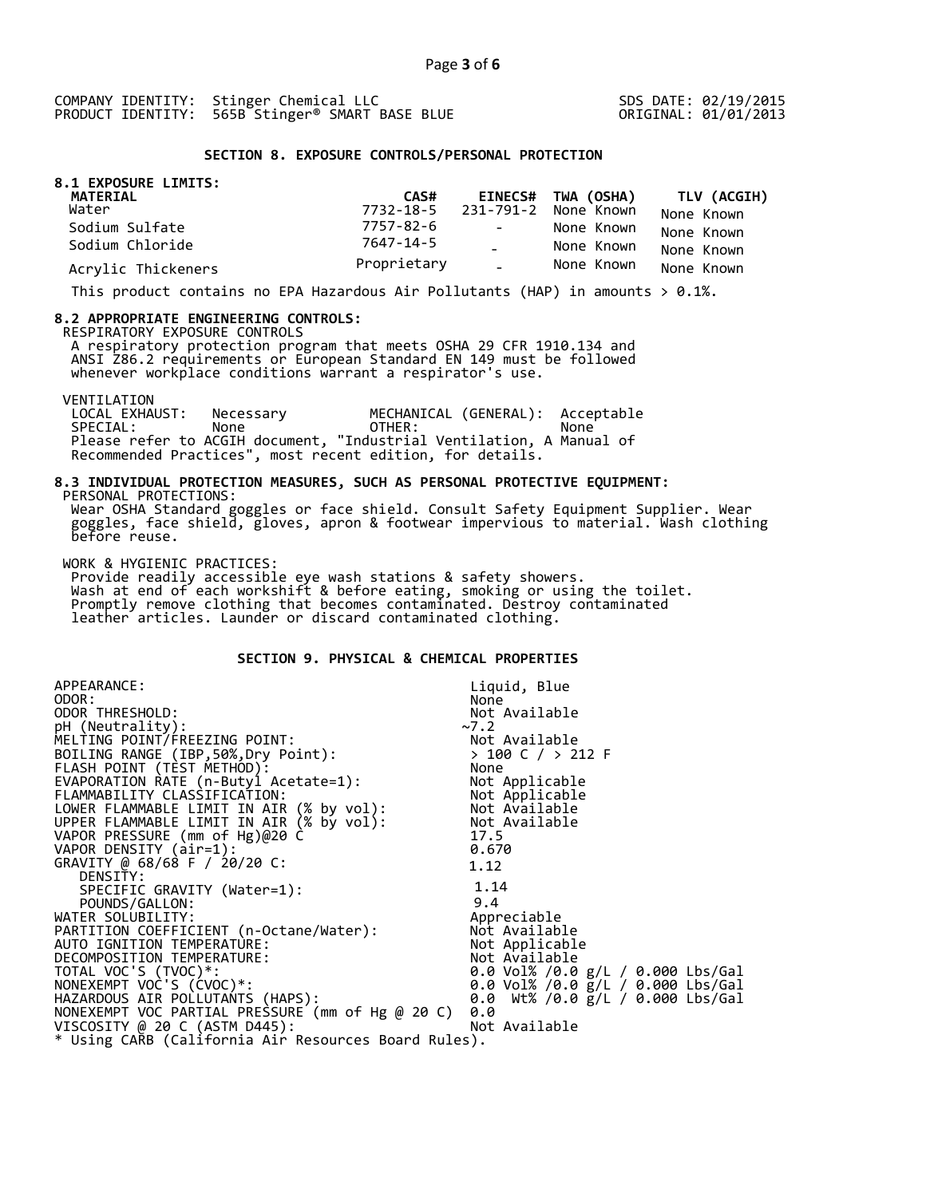SDS DATE: 02/19/2015 ORIGINAL: 01/01/2013

## **SECTION 8. EXPOSURE CONTROLS/PERSONAL PROTECTION**

| 8.1 EXPOSURE LIMITS:<br>MATERIAL | CAS#        |            | EINECS# TWA (OSHA)             | <b>TLV (ACGIH)</b> |
|----------------------------------|-------------|------------|--------------------------------|--------------------|
| Water                            |             |            | 7732-18-5 231-791-2 None Known | None Known         |
| Sodium Sulfate                   | 7757-82-6   | $\sim 100$ | None Known                     | None Known         |
| Sodium Chloride                  | 7647-14-5   |            | None Known                     | None Known         |
| Acrylic Thickeners               | Proprietary | $\sim$ .   | None Known                     | None Known         |

This product contains no EPA Hazardous Air Pollutants (HAP) in amounts  $> 0.1\%$ .

#### **8.2 APPROPRIATE ENGINEERING CONTROLS:**

RESPIRATORY EXPOSURE CONTROLS

 A respiratory protection program that meets OSHA 29 CFR 1910.134 and ANSI Z86.2 requirements or European Standard EN 149 must be followed whenever workplace conditions warrant a respirator's use.

VENTILATION<br>LOCAL EXHAUST: LOCAL EXHAUST: Necessary MECHANICAL (GENERAL): Acceptable SPECIAL: None OTHER: None Please refer to ACGIH document, "Industrial Ventilation, A Manual of Recommended Practices", most recent edition, for details.

#### **8.3 INDIVIDUAL PROTECTION MEASURES, SUCH AS PERSONAL PROTECTIVE EQUIPMENT:**  PERSONAL PROTECTIONS:

 Wear OSHA Standard goggles or face shield. Consult Safety Equipment Supplier. Wear goggles, face shield, gloves, apron & footwear impervious to material. Wash clothing before reuse.

WORK & HYGIENIC PRACTICES:

 Provide readily accessible eye wash stations & safety showers. Wash at end of each workshift & before eating, smoking or using the toilet. Promptly remove clothing that becomes contaminated. Destroy contaminated leather articles. Launder or discard contaminated clothing.

# **SECTION 9. PHYSICAL & CHEMICAL PROPERTIES**

| APPEARANCE:                                                                                                                                      | Liquid, Blue                              |
|--------------------------------------------------------------------------------------------------------------------------------------------------|-------------------------------------------|
| ODOR:                                                                                                                                            | None                                      |
| ODOR THRESHOLD:                                                                                                                                  | Not Available                             |
| pH (Neutrality):                                                                                                                                 | ~2                                        |
| MELTING POINT/FREEZING POINT:                                                                                                                    |                                           |
| BOILING RANGE (IBP, 50%, Dry Point):                                                                                                             | Not Available<br>> 100 C / > 212 F        |
| FLASH POINT (TÈST METHOD):                                                                                                                       | None                                      |
| EVAPORATION RATE (n-Butyl Acetate=1):                                                                                                            | Not Applicable                            |
| FLAMMABILITY CLASSIFICATION:<br>LOWER FLAMMABLE LIMIT IN AIR (% by vol): Not Available<br>UPPER FLAMMARLE LIMIT IN AIR (% by VOl): Not Available |                                           |
|                                                                                                                                                  |                                           |
| UPPER FLAMMABLE LIMIT IN AIR (% by vol): Not Available                                                                                           |                                           |
| VAPOR PRESSURE (mm of Hg)@20 C                                                                                                                   | 17.5                                      |
| VAPOR DENSITY (air=1):                                                                                                                           | 0.670                                     |
| GRAVITY @ 68/68 F / 20/20 C:                                                                                                                     | 1.12                                      |
| DENSITY:                                                                                                                                         |                                           |
| SPECIFIC GRAVITY (Water=1):                                                                                                                      | 1.14                                      |
| POUNDS/GALLON:                                                                                                                                   | 9.4                                       |
| PARTITION COEFFICIENT (n-Octane/Water):<br>AUTO IGNITION TEMPERATURE                                                                             | Appreciable                               |
|                                                                                                                                                  | Not Available                             |
|                                                                                                                                                  | Not Applicable                            |
| DECOMPOSITION TEMPERATURE:                                                                                                                       | Not Available                             |
| TOTAL VOC'S (TVOC)*:                                                                                                                             | 0.0 Vol% /0.0 g/L / 0.000 Lbs/Gal         |
| NONEXEMPT VOC'S (CVOC)*:                                                                                                                         | 0.0 Vol% /0.0 $\bar{g}/L$ / 0.000 Lbs/Gal |
| HAZARDOUS AIR POLLUTANTS (HAPS):                                                                                                                 | 0.0 Wt% /0.0 g/L / 0.000 Lbs/Gal          |
| NONEXEMPT VOC PARTIAL PRESSURE (mm of Hg @ 20 C)                                                                                                 | 0.0                                       |
| VISCOSITY @ 20 C (ASTM D445):                                                                                                                    | Not Available                             |
| * Using CARB (California Air Resources Board Rules).                                                                                             |                                           |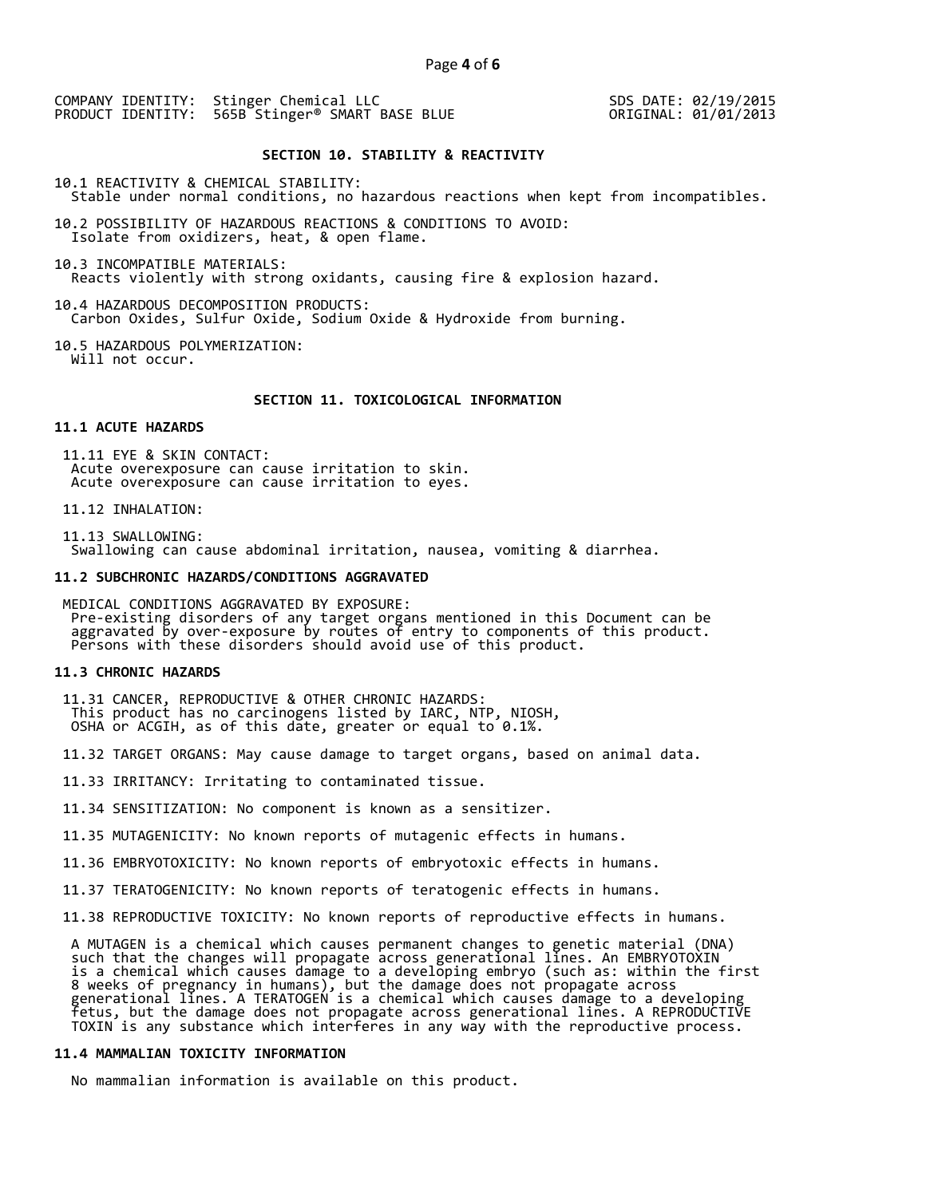COMPANY IDENTITY: Stinger Chemical LLC PRODUCT IDENTITY: 565B Stinger<sup>®</sup> SMART BASE BLUE

SDS DATE: 02/19/2015 ORIGINAL: 01/01/2013

## **SECTION 10. STABILITY & REACTIVITY**

10.1 REACTIVITY & CHEMICAL STABILITY: Stable under normal conditions, no hazardous reactions when kept from incompatibles.

10.2 POSSIBILITY OF HAZARDOUS REACTIONS & CONDITIONS TO AVOID: Isolate from oxidizers, heat, & open flame.

10.3 INCOMPATIBLE MATERIALS: Reacts violently with strong oxidants, causing fire & explosion hazard.

10.4 HAZARDOUS DECOMPOSITION PRODUCTS: Carbon Oxides, Sulfur Oxide, Sodium Oxide & Hydroxide from burning.

10.5 HAZARDOUS POLYMERIZATION: Will not occur.

## **SECTION 11. TOXICOLOGICAL INFORMATION**

## **11.1 ACUTE HAZARDS**

 11.11 EYE & SKIN CONTACT: Acute overexposure can cause irritation to skin. Acute overexposure can cause irritation to eyes.

11.12 INHALATION:

 11.13 SWALLOWING: Swallowing can cause abdominal irritation, nausea, vomiting & diarrhea.

#### **11.2 SUBCHRONIC HAZARDS/CONDITIONS AGGRAVATED**

 MEDICAL CONDITIONS AGGRAVATED BY EXPOSURE: Pre-existing disorders of any target organs mentioned in this Document can be aggravated by over-exposure by routes of entry to components of this product. Persons with these disorders should avoid use of this product.

### **11.3 CHRONIC HAZARDS**

 11.31 CANCER, REPRODUCTIVE & OTHER CHRONIC HAZARDS: This product has no carcinogens listed by IARC, NTP, NIOSH, OSHA or ACGIH, as of this date, greater or equal to 0.1%.

11.32 TARGET ORGANS: May cause damage to target organs, based on animal data.

11.33 IRRITANCY: Irritating to contaminated tissue.

11.34 SENSITIZATION: No component is known as a sensitizer.

11.35 MUTAGENICITY: No known reports of mutagenic effects in humans.

11.36 EMBRYOTOXICITY: No known reports of embryotoxic effects in humans.

11.37 TERATOGENICITY: No known reports of teratogenic effects in humans.

11.38 REPRODUCTIVE TOXICITY: No known reports of reproductive effects in humans.

 A MUTAGEN is a chemical which causes permanent changes to genetic material (DNA) such that the changes will propagate across generational lines. An EMBRYOTOXIN is a chemical which causes damage to a developing embryo (such as: within the first 8 weeks of pregnancy in humans), but the damage does not propagate across generational lines. A TERATOGEN is a chemical which causes damage to a developing fetus, but the damage does not propagate across generational lines. A REPRODUCTIVE TOXIN is any substance which interferes in any way with the reproductive process.

## **11.4 MAMMALIAN TOXICITY INFORMATION**

No mammalian information is available on this product.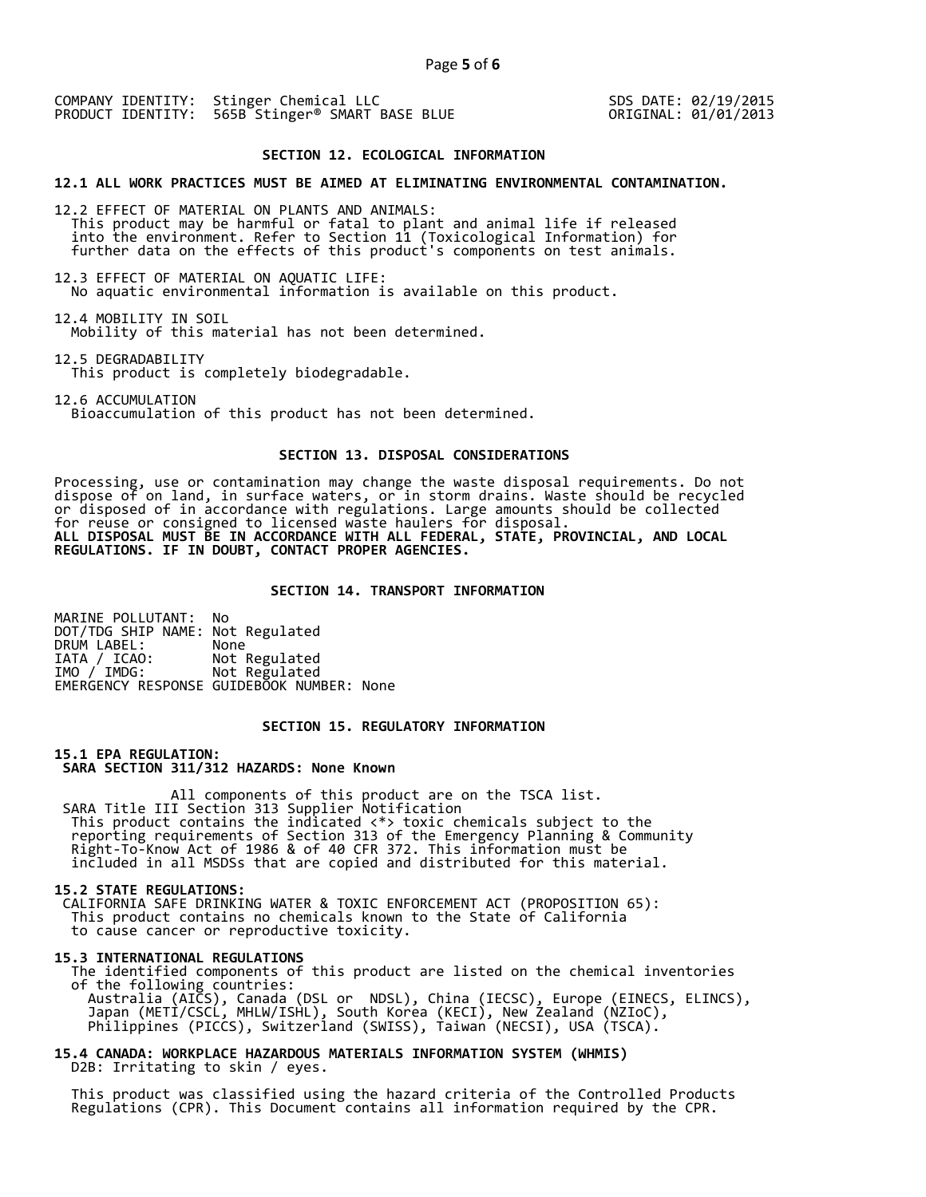COMPANY IDENTITY: Stinger Chemical LLC PRODUCT IDENTITY: 565B Stinger<sup>®</sup> SMART BASE BLUE SDS DATE: 02/19/2015 ORIGINAL: 01/01/2013

## **SECTION 12. ECOLOGICAL INFORMATION**

### **12.1 ALL WORK PRACTICES MUST BE AIMED AT ELIMINATING ENVIRONMENTAL CONTAMINATION.**

12.2 EFFECT OF MATERIAL ON PLANTS AND ANIMALS: This product may be harmful or fatal to plant and animal life if released into the environment. Refer to Section 11 (Toxicological Information) for further data on the effects of this product's components on test animals.

12.3 EFFECT OF MATERIAL ON AQUATIC LIFE: No aquatic environmental information is available on this product.

12.4 MOBILITY IN SOIL Mobility of this material has not been determined.

12.5 DEGRADABILITY This product is completely biodegradable.

12.6 ACCUMULATION

Bioaccumulation of this product has not been determined.

## **SECTION 13. DISPOSAL CONSIDERATIONS**

Processing, use or contamination may change the waste disposal requirements. Do not dispose of on land, in surface waters, or in storm drains. Waste should be recycled or disposed of in accordance with regulations. Large amounts should be collected for reuse or consigned to licensed waste haulers for disposal. **ALL DISPOSAL MUST BE IN ACCORDANCE WITH ALL FEDERAL, STATE, PROVINCIAL, AND LOCAL REGULATIONS. IF IN DOUBT, CONTACT PROPER AGENCIES.** 

## **SECTION 14. TRANSPORT INFORMATION**

MARINE POLLUTANT: No DOT/TDG SHIP NAME: Not Regulated DRUM LABEL:<br>IATA / ICAO: IATA / ICAO: Not Regulated<br>IMO / IMDG: Not Regulated Not Regulated EMERGENCY RESPONSE GUIDEBOOK NUMBER: None

## **SECTION 15. REGULATORY INFORMATION**

**15.1 EPA REGULATION: SARA SECTION 311/312 HAZARDS: None Known** 

All components of this product are on the TSCA list. SARA Title III Section 313 Supplier Notification This product contains the indicated <\*> toxic chemicals subject to the reporting requirements of Section 313 of the Emergency Planning & Community Right-To-Know Act of 1986 & of 40 CFR 372. This information must be included in all MSDSs that are copied and distributed for this material.

#### **15.2 STATE REGULATIONS:**

 CALIFORNIA SAFE DRINKING WATER & TOXIC ENFORCEMENT ACT (PROPOSITION 65): This product contains no chemicals known to the State of California to cause cancer or reproductive toxicity.

#### **15.3 INTERNATIONAL REGULATIONS**

 The identified components of this product are listed on the chemical inventories of the following countries: Australia (AICS), Canada (DSL or NDSL), China (IECSC), Europe (EINECS, ELINCS), Japan (METI/CSCL, MHLW/ISHL), South Korea (KECI), New Zealand (NZIoC), Philippines (PICCS), Switzerland (SWISS), Taiwan (NECSI), USA (TSCA).

## **15.4 CANADA: WORKPLACE HAZARDOUS MATERIALS INFORMATION SYSTEM (WHMIS)**  D2B: Irritating to skin / eyes.

 This product was classified using the hazard criteria of the Controlled Products Regulations (CPR). This Document contains all information required by the CPR.